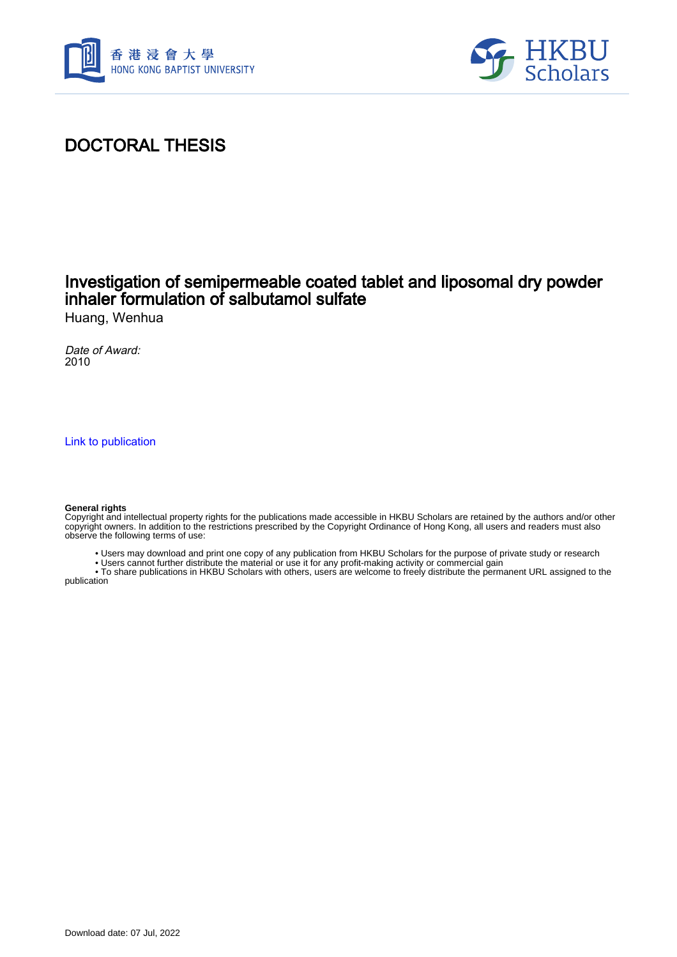



## DOCTORAL THESIS

### Investigation of semipermeable coated tablet and liposomal dry powder inhaler formulation of salbutamol sulfate Huang, Wenhua

Date of Award: 2010

[Link to publication](https://scholars.hkbu.edu.hk/en/studentTheses/e3ebc3e6-c23d-40fb-a7f7-035c2c83a2b4)

#### **General rights**

Copyright and intellectual property rights for the publications made accessible in HKBU Scholars are retained by the authors and/or other copyright owners. In addition to the restrictions prescribed by the Copyright Ordinance of Hong Kong, all users and readers must also observe the following terms of use:

- Users may download and print one copy of any publication from HKBU Scholars for the purpose of private study or research
- Users cannot further distribute the material or use it for any profit-making activity or commercial gain

 • To share publications in HKBU Scholars with others, users are welcome to freely distribute the permanent URL assigned to the publication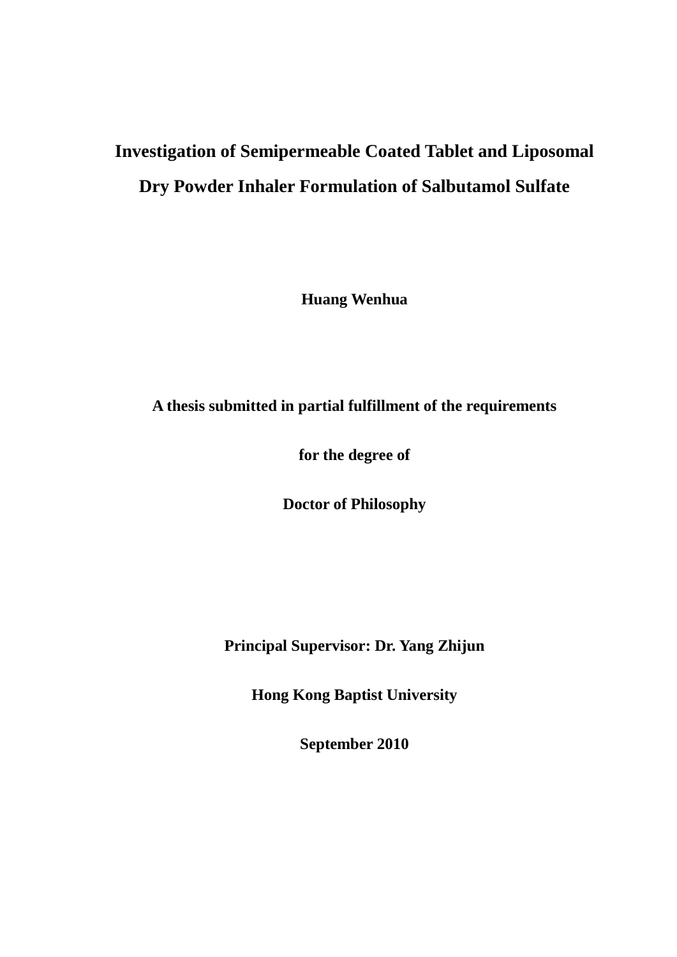# **Investigation of Semipermeable Coated Tablet and Liposomal Dry Powder Inhaler Formulation of Salbutamol Sulfate**

**Huang Wenhua**

**A thesis submitted in partial fulfillment of the requirements**

**for the degree of**

**Doctor of Philosophy**

**Principal Supervisor: Dr. Yang Zhijun**

**Hong Kong Baptist University**

**September 2010**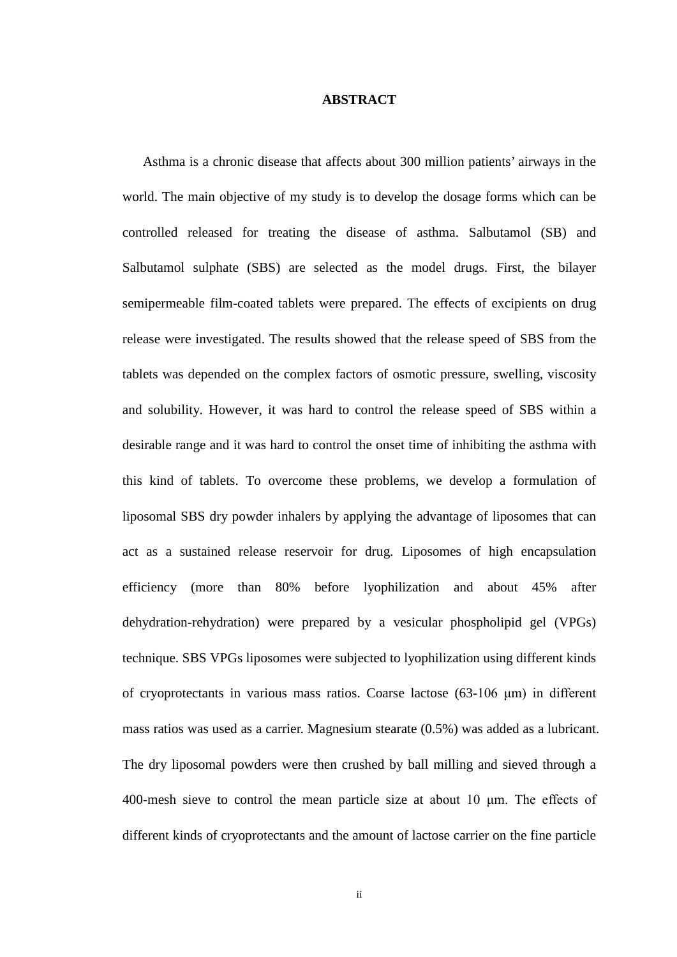### **ABSTRACT**

Asthma is a chronic disease that affects about 300 million patients' airways in the world. The main objective of my study is to develop the dosage forms which can be controlled released for treating the disease of asthma. Salbutamol (SB) and Salbutamol sulphate (SBS) are selected as the model drugs. First, the bilayer semipermeable film-coated tablets were prepared. The effects of excipients on drug release were investigated. The results showed that the release speed of SBS from the tablets was depended on the complex factors of osmotic pressure, swelling, viscosity and solubility. However, it was hard to control the release speed of SBS within a desirable range and it was hard to control the onset time of inhibiting the asthma with this kind of tablets. To overcome these problems, we develop a formulation of liposomal SBS dry powder inhalers by applying the advantage of liposomes that can act as a sustained release reservoir for drug. Liposomes of high encapsulation efficiency (more than 80% before lyophilization and about 45% after dehydration-rehydration) were prepared by a vesicular phospholipid gel (VPGs) technique. SBS VPGs liposomes were subjected to lyophilization using different kinds of cryoprotectants in various mass ratios. Coarse lactose (63-106 μm) in different mass ratios was used as a carrier. Magnesium stearate (0.5%) was added as a lubricant. The dry liposomal powders were then crushed by ball milling and sieved through a 400-mesh sieve to control the mean particle size at about 10 μm. The effects of different kinds of cryoprotectants and the amount of lactose carrier on the fine particle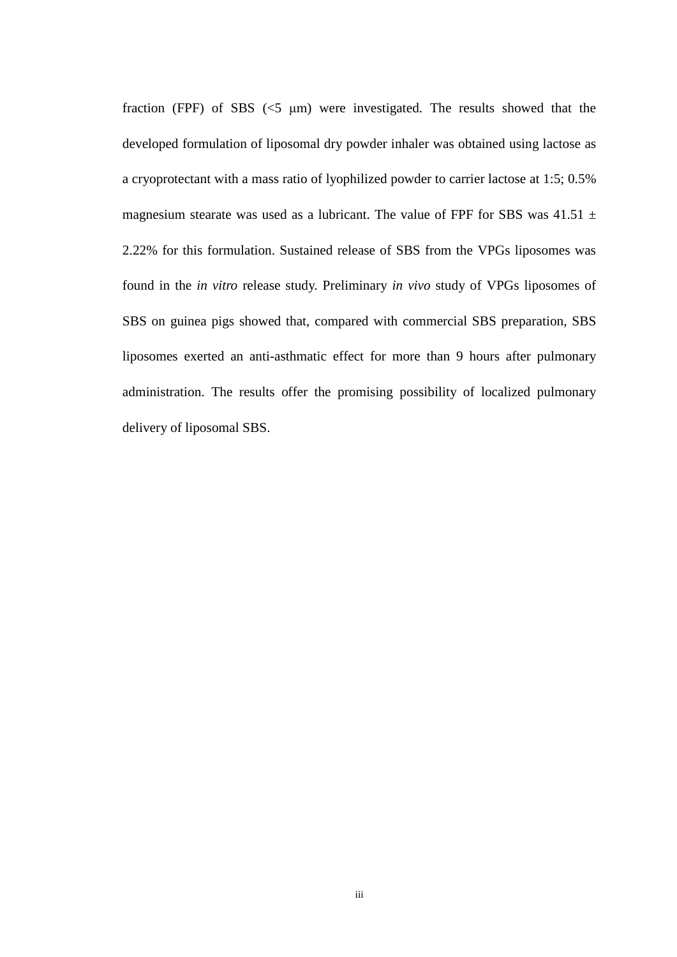fraction (FPF) of SBS  $(\leq 5 \text{ \mu m})$  were investigated. The results showed that the developed formulation of liposomal dry powder inhaler was obtained using lactose as a cryoprotectant with a mass ratio of lyophilized powder to carrier lactose at 1:5; 0.5% magnesium stearate was used as a lubricant. The value of FPF for SBS was  $41.51 \pm$ 2.22% for this formulation. Sustained release of SBS from the VPGs liposomes was found in the *in vitro* release study. Preliminary *in vivo* study of VPGs liposomes of SBS on guinea pigs showed that, compared with commercial SBS preparation, SBS liposomes exerted an anti-asthmatic effect for more than 9 hours after pulmonary administration. The results offer the promising possibility of localized pulmonary delivery of liposomal SBS.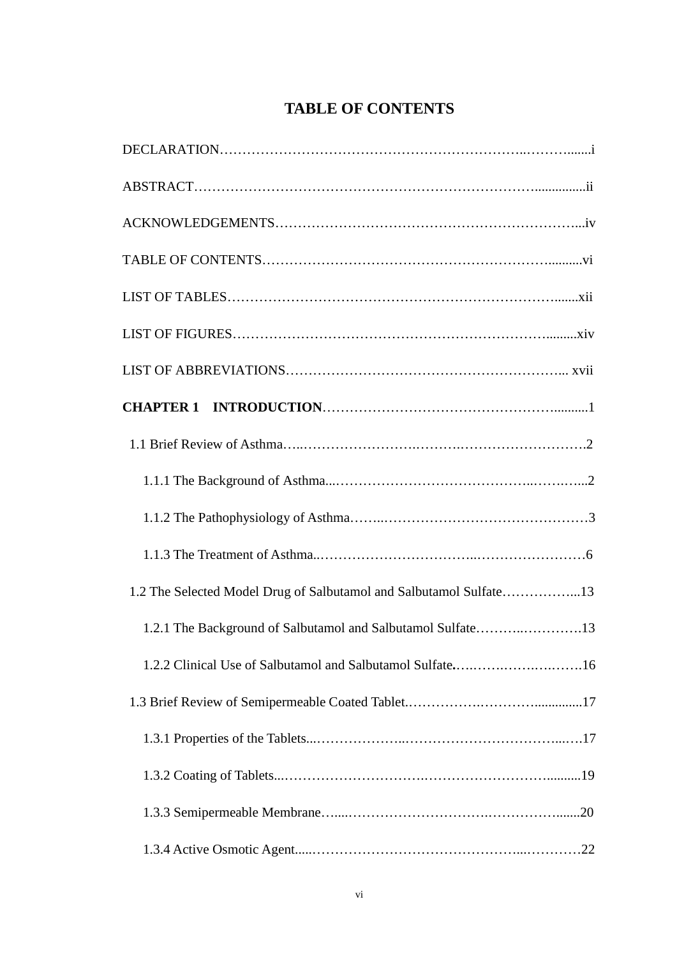## **TABLE OF CONTENTS**

| 1.2 The Selected Model Drug of Salbutamol and Salbutamol Sulfate13 |
|--------------------------------------------------------------------|
| 1.2.1 The Background of Salbutamol and Salbutamol Sulfate13        |
|                                                                    |
|                                                                    |
|                                                                    |
|                                                                    |
|                                                                    |
|                                                                    |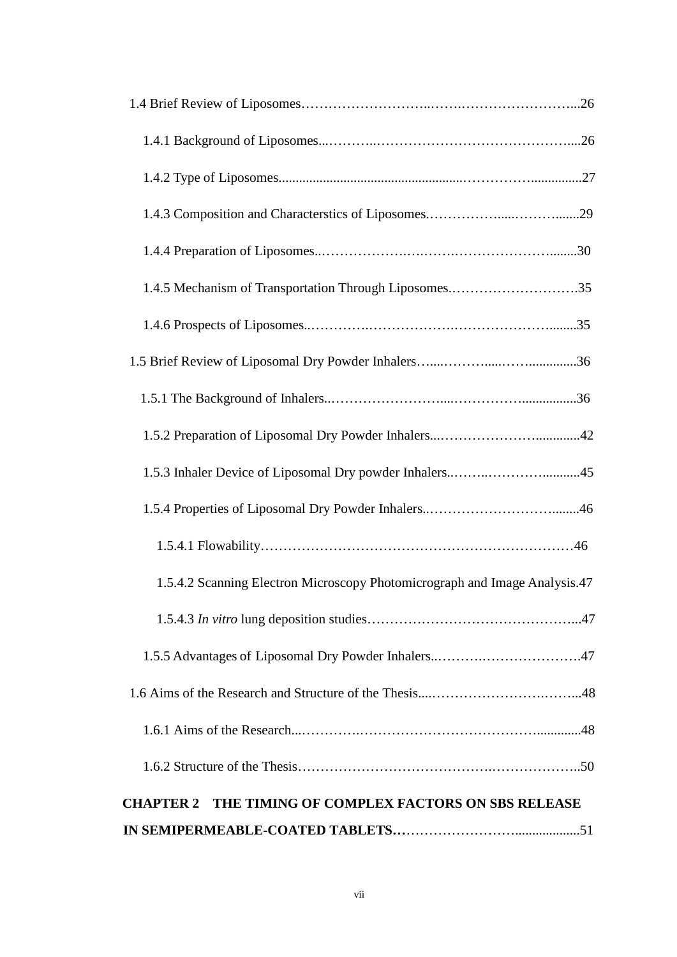| 1.4.5 Mechanism of Transportation Through Liposomes35                      |
|----------------------------------------------------------------------------|
|                                                                            |
|                                                                            |
|                                                                            |
|                                                                            |
|                                                                            |
|                                                                            |
|                                                                            |
| 1.5.4.2 Scanning Electron Microscopy Photomicrograph and Image Analysis.47 |
|                                                                            |
|                                                                            |
|                                                                            |
|                                                                            |
|                                                                            |
| <b>CHAPTER 2 THE TIMING OF COMPLEX FACTORS ON SBS RELEASE</b>              |
|                                                                            |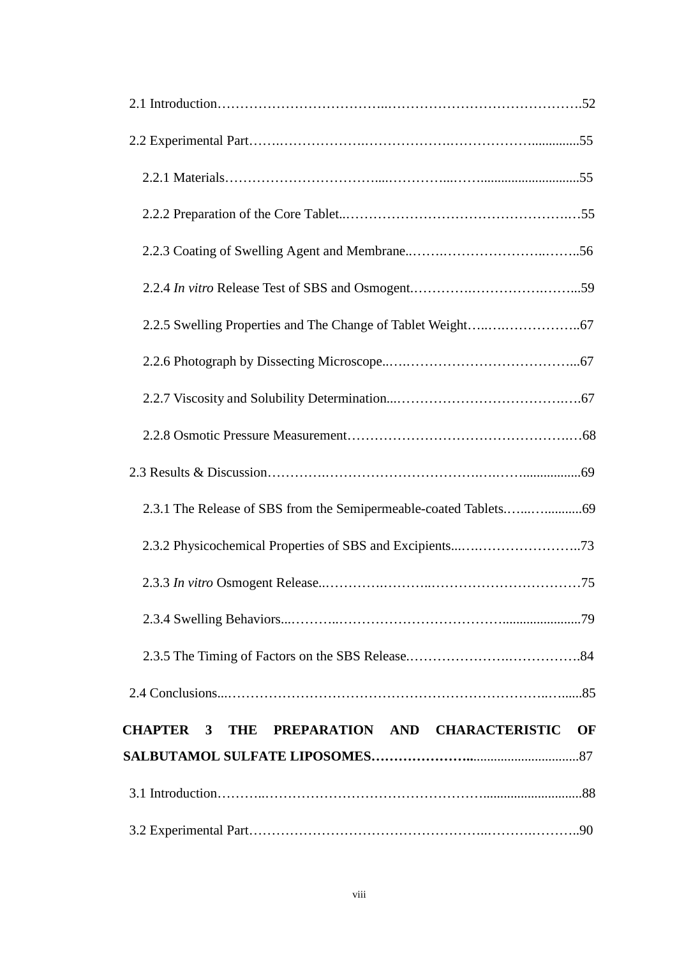| THE PREPARATION AND CHARACTERISTIC<br>CHAPTER 3<br>OF |
|-------------------------------------------------------|
|                                                       |
|                                                       |
|                                                       |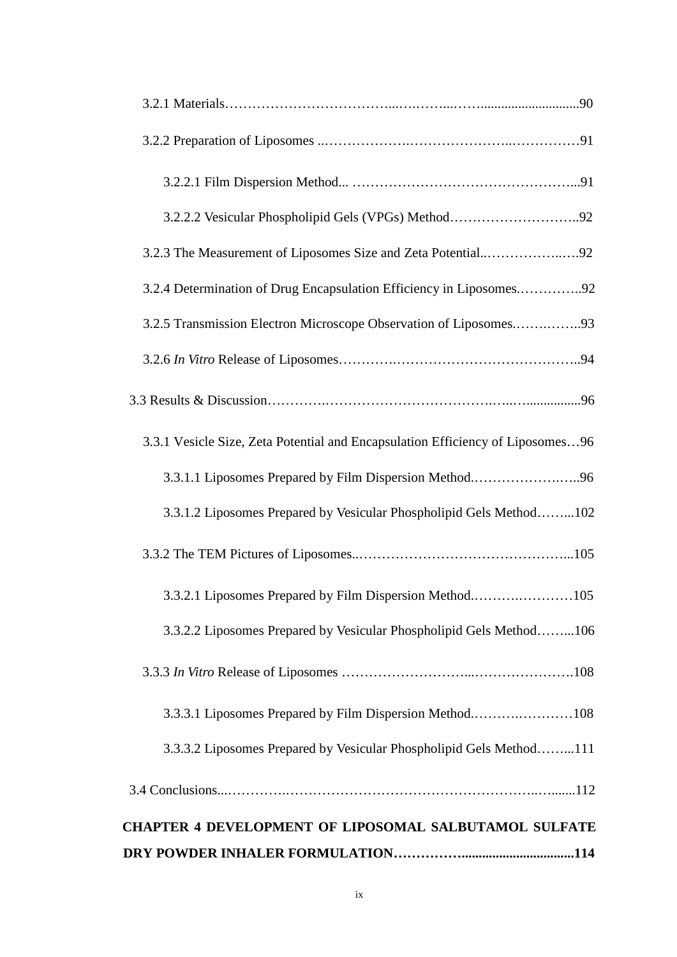| 3.2.4 Determination of Drug Encapsulation Efficiency in Liposomes92            |
|--------------------------------------------------------------------------------|
| 3.2.5 Transmission Electron Microscope Observation of Liposomes93              |
|                                                                                |
|                                                                                |
| 3.3.1 Vesicle Size, Zeta Potential and Encapsulation Efficiency of Liposomes96 |
| 3.3.1.1 Liposomes Prepared by Film Dispersion Method96                         |
| 3.3.1.2 Liposomes Prepared by Vesicular Phospholipid Gels Method102            |
|                                                                                |
| 3.3.2.1 Liposomes Prepared by Film Dispersion Method105                        |
| 3.3.2.2 Liposomes Prepared by Vesicular Phospholipid Gels Method106            |
|                                                                                |
| 3.3.3.1 Liposomes Prepared by Film Dispersion Method108                        |
| 3.3.3.2 Liposomes Prepared by Vesicular Phospholipid Gels Method111            |
|                                                                                |
| <b>CHAPTER 4 DEVELOPMENT OF LIPOSOMAL SALBUTAMOL SULFATE</b>                   |
|                                                                                |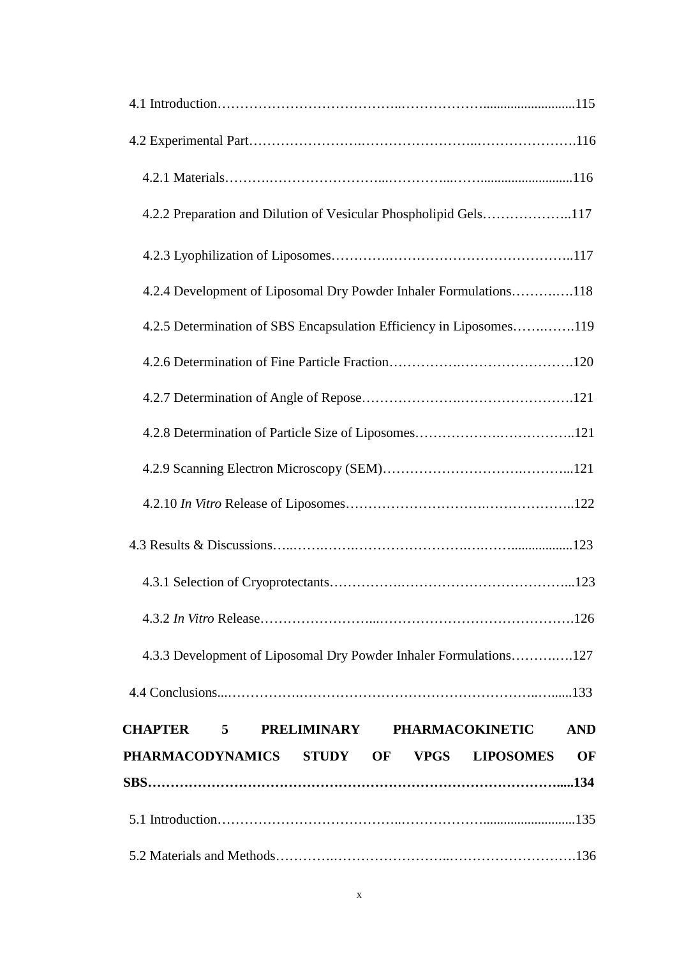| 4.2.2 Preparation and Dilution of Vesicular Phospholipid Gels117    |
|---------------------------------------------------------------------|
|                                                                     |
| 4.2.4 Development of Liposomal Dry Powder Inhaler Formulations118   |
| 4.2.5 Determination of SBS Encapsulation Efficiency in Liposomes119 |
|                                                                     |
|                                                                     |
|                                                                     |
|                                                                     |
|                                                                     |
|                                                                     |
|                                                                     |
|                                                                     |
| 4.3.3 Development of Liposomal Dry Powder Inhaler Formulations127   |
|                                                                     |
| <b>CHAPTER 5 PRELIMINARY PHARMACOKINETIC</b><br><b>AND</b>          |
| PHARMACODYNAMICS STUDY OF VPGS LIPOSOMES<br>OF                      |
|                                                                     |
|                                                                     |
|                                                                     |